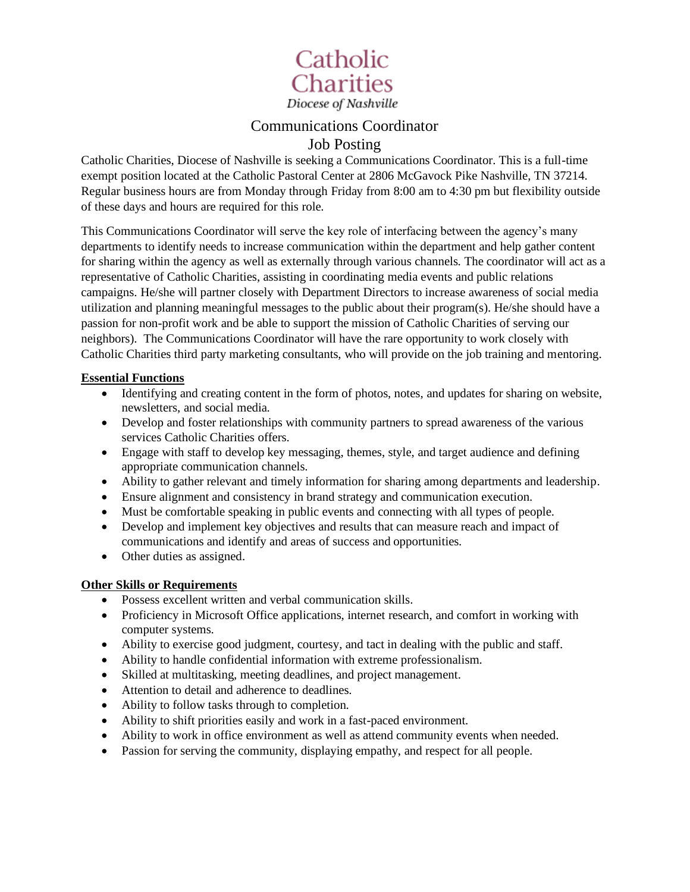

## Communications Coordinator Job Posting

Catholic Charities, Diocese of Nashville is seeking a Communications Coordinator. This is a full-time exempt position located at the Catholic Pastoral Center at 2806 McGavock Pike Nashville, TN 37214. Regular business hours are from Monday through Friday from 8:00 am to 4:30 pm but flexibility outside of these days and hours are required for this role.

This Communications Coordinator will serve the key role of interfacing between the agency's many departments to identify needs to increase communication within the department and help gather content for sharing within the agency as well as externally through various channels. The coordinator will act as a representative of Catholic Charities, assisting in coordinating media events and public relations campaigns. He/she will partner closely with Department Directors to increase awareness of social media utilization and planning meaningful messages to the public about their program(s). He/she should have a passion for non-profit work and be able to support the mission of Catholic Charities of serving our neighbors). The Communications Coordinator will have the rare opportunity to work closely with Catholic Charities third party marketing consultants, who will provide on the job training and mentoring.

### **Essential Functions**

- Identifying and creating content in the form of photos, notes, and updates for sharing on website, newsletters, and social media.
- Develop and foster relationships with community partners to spread awareness of the various services Catholic Charities offers.
- Engage with staff to develop key messaging, themes, style, and target audience and defining appropriate communication channels.
- Ability to gather relevant and timely information for sharing among departments and leadership.
- Ensure alignment and consistency in brand strategy and communication execution.
- Must be comfortable speaking in public events and connecting with all types of people.
- Develop and implement key objectives and results that can measure reach and impact of communications and identify and areas of success and opportunities.
- Other duties as assigned.

### **Other Skills or Requirements**

- Possess excellent written and verbal communication skills.
- Proficiency in Microsoft Office applications, internet research, and comfort in working with computer systems.
- Ability to exercise good judgment, courtesy, and tact in dealing with the public and staff.
- Ability to handle confidential information with extreme professionalism.
- Skilled at multitasking, meeting deadlines, and project management.
- Attention to detail and adherence to deadlines.
- Ability to follow tasks through to completion.
- Ability to shift priorities easily and work in a fast-paced environment.
- Ability to work in office environment as well as attend community events when needed.
- Passion for serving the community, displaying empathy, and respect for all people.